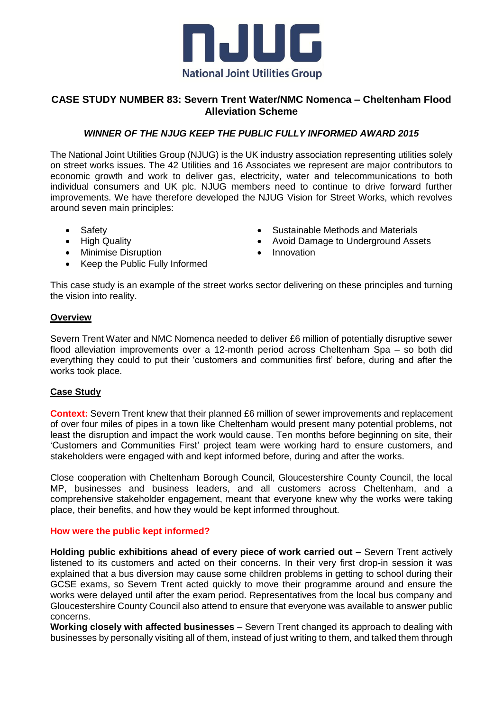

# **CASE STUDY NUMBER 83: Severn Trent Water/NMC Nomenca – Cheltenham Flood Alleviation Scheme**

## *WINNER OF THE NJUG KEEP THE PUBLIC FULLY INFORMED AWARD 2015*

The National Joint Utilities Group (NJUG) is the UK industry association representing utilities solely on street works issues. The 42 Utilities and 16 Associates we represent are major contributors to economic growth and work to deliver gas, electricity, water and telecommunications to both individual consumers and UK plc. NJUG members need to continue to drive forward further improvements. We have therefore developed the NJUG Vision for Street Works, which revolves around seven main principles:

- Safety
- High Quality
- Minimise Disruption
- Keep the Public Fully Informed
- Sustainable Methods and Materials
- Avoid Damage to Underground Assets
- Innovation

This case study is an example of the street works sector delivering on these principles and turning the vision into reality.

### **Overview**

Severn Trent Water and NMC Nomenca needed to deliver £6 million of potentially disruptive sewer flood alleviation improvements over a 12-month period across Cheltenham Spa – so both did everything they could to put their 'customers and communities first' before, during and after the works took place.

### **Case Study**

**Context:** Severn Trent knew that their planned £6 million of sewer improvements and replacement of over four miles of pipes in a town like Cheltenham would present many potential problems, not least the disruption and impact the work would cause. Ten months before beginning on site, their 'Customers and Communities First' project team were working hard to ensure customers, and stakeholders were engaged with and kept informed before, during and after the works.

Close cooperation with Cheltenham Borough Council, Gloucestershire County Council, the local MP, businesses and business leaders, and all customers across Cheltenham, and a comprehensive stakeholder engagement, meant that everyone knew why the works were taking place, their benefits, and how they would be kept informed throughout.

#### **How were the public kept informed?**

**Holding public exhibitions ahead of every piece of work carried out –** Severn Trent actively listened to its customers and acted on their concerns. In their very first drop-in session it was explained that a bus diversion may cause some children problems in getting to school during their GCSE exams, so Severn Trent acted quickly to move their programme around and ensure the works were delayed until after the exam period. Representatives from the local bus company and Gloucestershire County Council also attend to ensure that everyone was available to answer public concerns.

**Working closely with affected businesses** – Severn Trent changed its approach to dealing with businesses by personally visiting all of them, instead of just writing to them, and talked them through